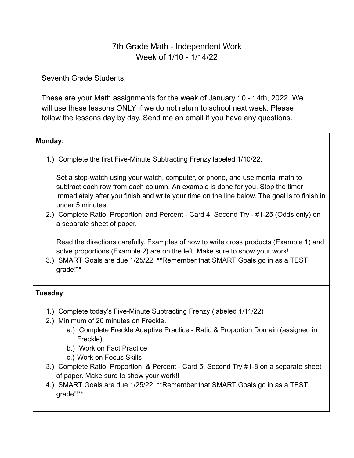# 7th Grade Math - Independent Work Week of 1/10 - 1/14/22

Seventh Grade Students,

These are your Math assignments for the week of January 10 - 14th, 2022. We will use these lessons ONLY if we do not return to school next week. Please follow the lessons day by day. Send me an email if you have any questions.

### **Monday:**

1.) Complete the first Five-Minute Subtracting Frenzy labeled 1/10/22.

Set a stop-watch using your watch, computer, or phone, and use mental math to subtract each row from each column. An example is done for you. Stop the timer immediately after you finish and write your time on the line below. The goal is to finish in under 5 minutes.

2.) Complete Ratio, Proportion, and Percent - Card 4: Second Try - #1-25 (Odds only) on a separate sheet of paper.

Read the directions carefully. Examples of how to write cross products (Example 1) and solve proportions (Example 2) are on the left. Make sure to show your work!

3.) SMART Goals are due 1/25/22. \*\*Remember that SMART Goals go in as a TEST grade!\*\*

## **Tuesday**:

- 1.) Complete today's Five-Minute Subtracting Frenzy (labeled 1/11/22)
- 2.) Minimum of 20 minutes on Freckle.
	- a.) Complete Freckle Adaptive Practice Ratio & Proportion Domain (assigned in Freckle)
	- b.) Work on Fact Practice
	- c.) Work on Focus Skills
- 3.) Complete Ratio, Proportion, & Percent Card 5: Second Try #1-8 on a separate sheet of paper. Make sure to show your work!!
- 4.) SMART Goals are due 1/25/22. \*\*Remember that SMART Goals go in as a TEST grade!!\*\*